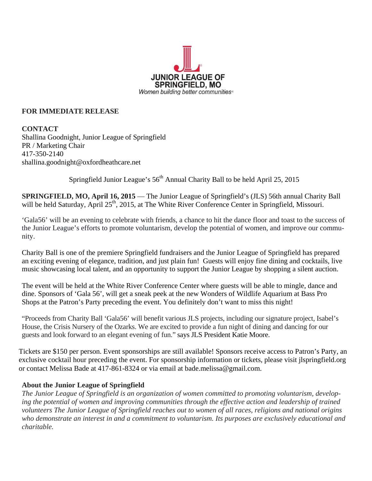

## **FOR IMMEDIATE RELEASE**

**CONTACT** Shallina Goodnight, Junior League of Springfield PR / Marketing Chair 417-350-2140 shallina.goodnight@oxfordheathcare.net

Springfield Junior League's  $56<sup>th</sup>$  Annual Charity Ball to be held April 25, 2015

**SPRINGFIELD, MO, April 16, 2015** — The Junior League of Springfield's (JLS) 56th annual Charity Ball will be held Saturday, April 25<sup>th</sup>, 2015, at The White River Conference Center in Springfield, Missouri.

'Gala56' will be an evening to celebrate with friends, a chance to hit the dance floor and toast to the success of the Junior League's efforts to promote voluntarism, develop the potential of women, and improve our community.

Charity Ball is one of the premiere Springfield fundraisers and the Junior League of Springfield has prepared an exciting evening of elegance, tradition, and just plain fun! Guests will enjoy fine dining and cocktails, live music showcasing local talent, and an opportunity to support the Junior League by shopping a silent auction.

The event will be held at the White River Conference Center where guests will be able to mingle, dance and dine. Sponsors of 'Gala 56', will get a sneak peek at the new Wonders of Wildlife Aquarium at Bass Pro Shops at the Patron's Party preceding the event. You definitely don't want to miss this night!

"Proceeds from Charity Ball 'Gala56' will benefit various JLS projects, including our signature project, Isabel's House, the Crisis Nursery of the Ozarks. We are excited to provide a fun night of dining and dancing for our guests and look forward to an elegant evening of fun." says JLS President Katie Moore.

Tickets are \$150 per person. Event sponsorships are still available! Sponsors receive access to Patron's Party, an exclusive cocktail hour preceding the event. For sponsorship information or tickets, please visit jlspringfield.org or contact Melissa Bade at 417-861-8324 or via email at bade.melissa@gmail.com.

## **About the Junior League of Springfield**

*The Junior League of Springfield is an organization of women committed to promoting voluntarism, developing the potential of women and improving communities through the effective action and leadership of trained volunteers The Junior League of Springfield reaches out to women of all races, religions and national origins who demonstrate an interest in and a commitment to voluntarism. Its purposes are exclusively educational and charitable.*